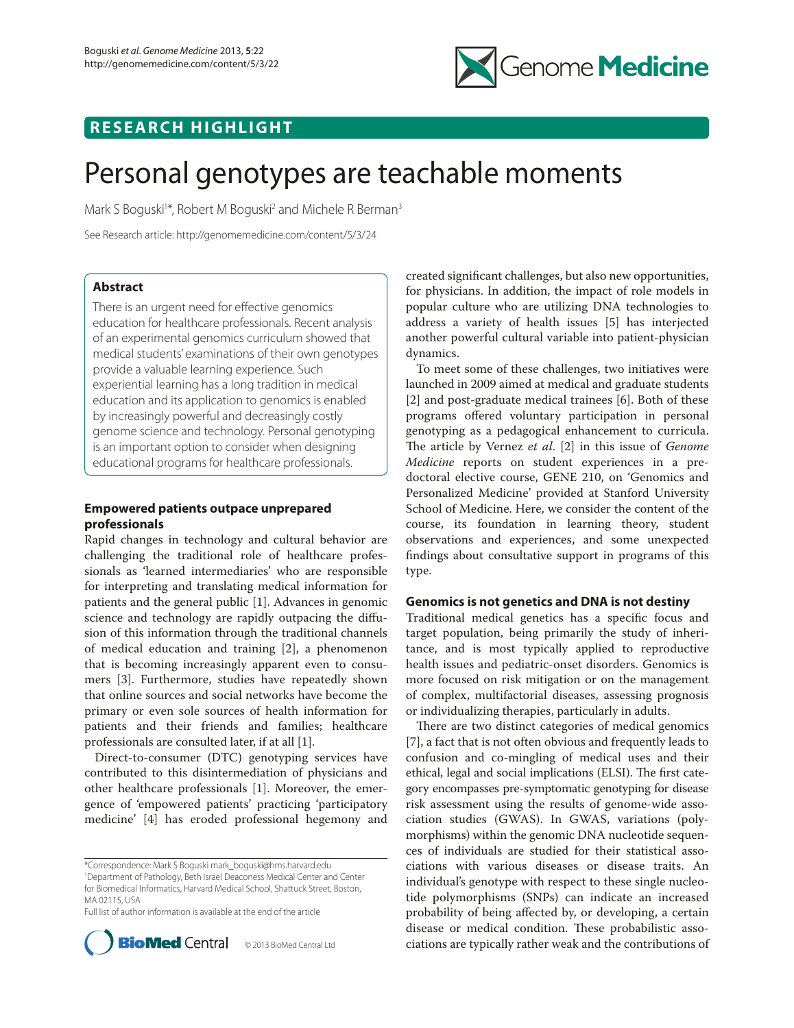

## **RESEARCH HIGHLIGHT**

# Personal genotypes are teachable moments

Mark S Boguski<sup>1\*</sup>, Robert M Boguski<sup>2</sup> and Michele R Berman<sup>3</sup>

See Research article: http://genomemedicine.com/content/5/3/24

## **Abstract**

There is an urgent need for effective genomics education for healthcare professionals. Recent analysis of an experimental genomics curriculum showed that medical students' examinations of their own genotypes provide a valuable learning experience. Such experiential learning has a long tradition in medical education and its application to genomics is enabled by increasingly powerful and decreasingly costly genome science and technology. Personal genotyping is an important option to consider when designing educational programs for healthcare professionals.

## **Empowered patients outpace unprepared professionals**

Rapid changes in technology and cultural behavior are challenging the traditional role of healthcare professionals as 'learned intermediaries' who are responsible for interpreting and translating medical information for patients and the general public [1]. Advances in genomic science and technology are rapidly outpacing the diffusion of this information through the traditional channels of medical education and training [2], a phenomenon that is becoming increasingly apparent even to consumers [3]. Furthermore, studies have repeatedly shown that online sources and social networks have become the primary or even sole sources of health information for patients and their friends and families; healthcare professionals are consulted later, if at all [1].

Direct-to-consumer (DTC) genotyping services have contributed to this disintermediation of physicians and other healthcare professionals [1]. Moreover, the emergence of 'empowered patients' practicing 'participatory medicine' [4] has eroded professional hegemony and

\*Correspondence: Mark S Boguski mark\_boguski@hms.harvard.edu 1 Department of Pathology, Beth Israel Deaconess Medical Center and Center for Biomedical Informatics, Harvard Medical School, Shattuck Street, Boston, MA 02115, USA

Full list of author information is available at the end of the article



created significant challenges, but also new opportunities, for physicians. In addition, the impact of role models in popular culture who are utilizing DNA technologies to address a variety of health issues [5] has interjected another powerful cultural variable into patient-physician dynamics.

To meet some of these challenges, two initiatives were launched in 2009 aimed at medical and graduate students  $[2]$  and post-graduate medical trainees  $[6]$ . Both of these programs offered voluntary participation in personal genotyping as a pedagogical enhancement to curricula. The article by Vernez *et al.* [2] in this issue of *Genome Medicine* reports on student experiences in a predoctoral elective course, GENE 210, on 'Genomics and Personalized Medicine' provided at Stanford University School of Medicine. Here, we consider the content of the course, its foundation in learning theory, student observations and experiences, and some unexpected findings about consultative support in programs of this type.

## **Genomics is not genetics and DNA is not destiny**

Traditional medical genetics has a specific focus and target population, being primarily the study of inheritance, and is most typically applied to reproductive health issues and pediatric-onset disorders. Genomics is more focused on risk mitigation or on the management of complex, multifactorial diseases, assessing prognosis or individualizing therapies, particularly in adults.

There are two distinct categories of medical genomics [7], a fact that is not often obvious and frequently leads to confusion and co-mingling of medical uses and their ethical, legal and social implications (ELSI). The first category encompasses presymptomatic genotyping for disease risk assessment using the results of genome-wide association studies (GWAS). In GWAS, variations (polymorphisms) within the genomic DNA nucleotide sequences of individuals are studied for their statistical associations with various diseases or disease traits. An individual's genotype with respect to these single nucleotide polymorphisms (SNPs) can indicate an increased probability of being affected by, or developing, a certain disease or medical condition. These probabilistic associations are typically rather weak and the contributions of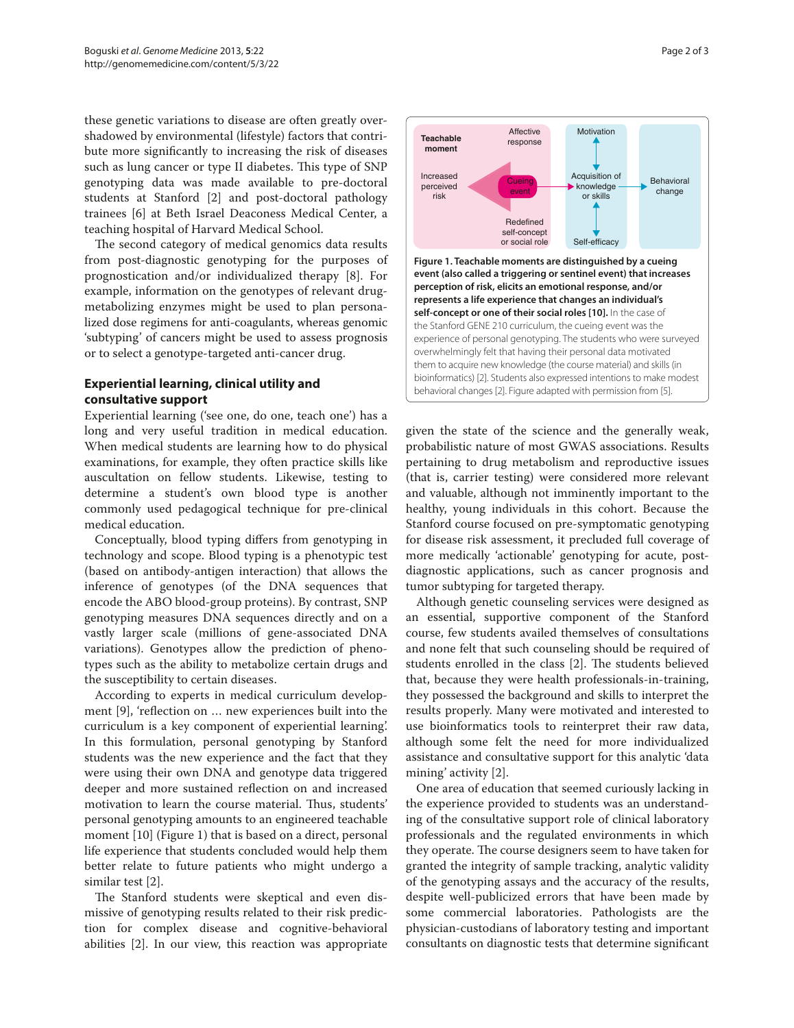these genetic variations to disease are often greatly overshadowed by environmental (lifestyle) factors that contribute more significantly to increasing the risk of diseases such as lung cancer or type II diabetes. This type of SNP genotyping data was made available to pre-doctoral students at Stanford [2] and post-doctoral pathology trainees [6] at Beth Israel Deaconess Medical Center, a teaching hospital of Harvard Medical School.

The second category of medical genomics data results from post-diagnostic genotyping for the purposes of prognostication and/or individualized therapy [8]. For example, information on the genotypes of relevant drugmetabolizing enzymes might be used to plan personalized dose regimens for anti-coagulants, whereas genomic 'subtyping' of cancers might be used to assess prognosis or to select a genotype-targeted anti-cancer drug.

## **Experiential learning, clinical utility and consultative support**

Experiential learning ('see one, do one, teach one') has a long and very useful tradition in medical education. When medical students are learning how to do physical examinations, for example, they often practice skills like auscultation on fellow students. Likewise, testing to determine a student's own blood type is another commonly used pedagogical technique for pre-clinical medical education.

Conceptually, blood typing differs from genotyping in technology and scope. Blood typing is a phenotypic test (based on antibody-antigen interaction) that allows the inference of genotypes (of the DNA sequences that encode the ABO blood-group proteins). By contrast, SNP genotyping measures DNA sequences directly and on a vastly larger scale (millions of gene-associated DNA variations). Genotypes allow the prediction of phenotypes such as the ability to metabolize certain drugs and the susceptibility to certain diseases.

According to experts in medical curriculum development [9], 'reflection on ... new experiences built into the curriculum is a key component of experiential learning'. In this formulation, personal genotyping by Stanford students was the new experience and the fact that they were using their own DNA and genotype data triggered deeper and more sustained reflection on and increased motivation to learn the course material. Thus, students' personal genotyping amounts to an engineered teachable moment [10] (Figure 1) that is based on a direct, personal life experience that students concluded would help them better relate to future patients who might undergo a similar test [2].

The Stanford students were skeptical and even dismissive of genotyping results related to their risk prediction for complex disease and cognitive-behavioral abilities [2]. In our view, this reaction was appropriate



given the state of the science and the generally weak, probabilistic nature of most GWAS associations. Results pertaining to drug metabolism and reproductive issues (that is, carrier testing) were considered more relevant and valuable, although not imminently important to the healthy, young individuals in this cohort. Because the Stanford course focused on pre-symptomatic genotyping for disease risk assessment, it precluded full coverage of more medically 'actionable' genotyping for acute, postdiagnostic applications, such as cancer prognosis and tumor subtyping for targeted therapy.

Although genetic counseling services were designed as an essential, supportive component of the Stanford course, few students availed themselves of consultations and none felt that such counseling should be required of students enrolled in the class [2]. The students believed that, because they were health professionals-in-training, they possessed the background and skills to interpret the results properly. Many were motivated and interested to use bioinformatics tools to reinterpret their raw data, although some felt the need for more individualized assistance and consultative support for this analytic 'data mining' activity [2].

One area of education that seemed curiously lacking in the experience provided to students was an understanding of the consultative support role of clinical laboratory professionals and the regulated environments in which they operate. The course designers seem to have taken for granted the integrity of sample tracking, analytic validity of the genotyping assays and the accuracy of the results, despite well-publicized errors that have been made by some commercial laboratories. Pathologists are the physician-custodians of laboratory testing and important consultants on diagnostic tests that determine significant